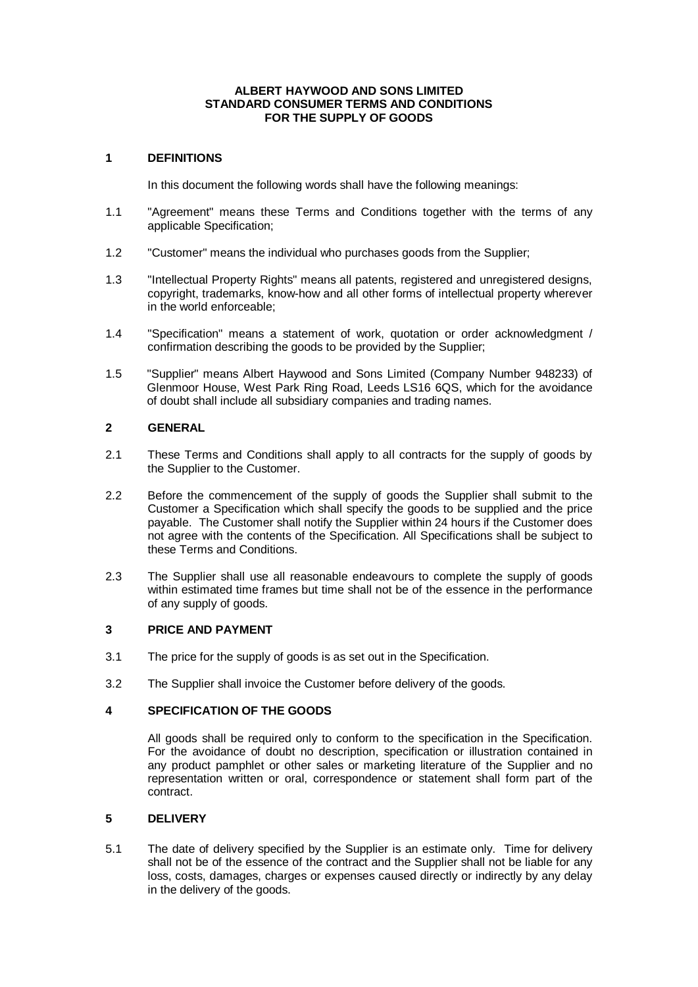#### **ALBERT HAYWOOD AND SONS LIMITED STANDARD CONSUMER TERMS AND CONDITIONS FOR THE SUPPLY OF GOODS**

### **1 DEFINITIONS**

In this document the following words shall have the following meanings:

- 1.1 "Agreement" means these Terms and Conditions together with the terms of any applicable Specification;
- 1.2 "Customer" means the individual who purchases goods from the Supplier;
- 1.3 "Intellectual Property Rights" means all patents, registered and unregistered designs, copyright, trademarks, know-how and all other forms of intellectual property wherever in the world enforceable;
- 1.4 "Specification" means a statement of work, quotation or order acknowledgment / confirmation describing the goods to be provided by the Supplier;
- 1.5 "Supplier" means Albert Haywood and Sons Limited (Company Number 948233) of Glenmoor House, West Park Ring Road, Leeds LS16 6QS, which for the avoidance of doubt shall include all subsidiary companies and trading names.

### **2 GENERAL**

- 2.1 These Terms and Conditions shall apply to all contracts for the supply of goods by the Supplier to the Customer.
- 2.2 Before the commencement of the supply of goods the Supplier shall submit to the Customer a Specification which shall specify the goods to be supplied and the price payable. The Customer shall notify the Supplier within 24 hours if the Customer does not agree with the contents of the Specification. All Specifications shall be subject to these Terms and Conditions.
- 2.3 The Supplier shall use all reasonable endeavours to complete the supply of goods within estimated time frames but time shall not be of the essence in the performance of any supply of goods.

# **3 PRICE AND PAYMENT**

- 3.1 The price for the supply of goods is as set out in the Specification.
- 3.2 The Supplier shall invoice the Customer before delivery of the goods.

# **4 SPECIFICATION OF THE GOODS**

All goods shall be required only to conform to the specification in the Specification. For the avoidance of doubt no description, specification or illustration contained in any product pamphlet or other sales or marketing literature of the Supplier and no representation written or oral, correspondence or statement shall form part of the contract.

# **5 DELIVERY**

5.1 The date of delivery specified by the Supplier is an estimate only. Time for delivery shall not be of the essence of the contract and the Supplier shall not be liable for any loss, costs, damages, charges or expenses caused directly or indirectly by any delay in the delivery of the goods.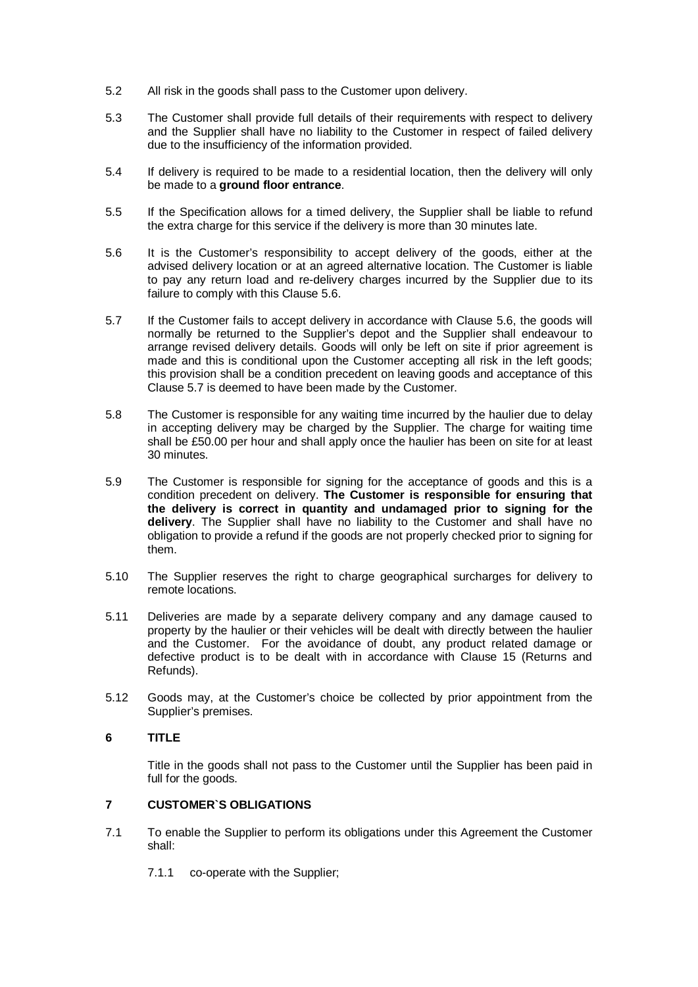- 5.2 All risk in the goods shall pass to the Customer upon delivery.
- 5.3 The Customer shall provide full details of their requirements with respect to delivery and the Supplier shall have no liability to the Customer in respect of failed delivery due to the insufficiency of the information provided.
- 5.4 If delivery is required to be made to a residential location, then the delivery will only be made to a **ground floor entrance**.
- 5.5 If the Specification allows for a timed delivery, the Supplier shall be liable to refund the extra charge for this service if the delivery is more than 30 minutes late.
- 5.6 It is the Customer's responsibility to accept delivery of the goods, either at the advised delivery location or at an agreed alternative location. The Customer is liable to pay any return load and re-delivery charges incurred by the Supplier due to its failure to comply with this Clause 5.6.
- 5.7 If the Customer fails to accept delivery in accordance with Clause 5.6, the goods will normally be returned to the Supplier's depot and the Supplier shall endeavour to arrange revised delivery details. Goods will only be left on site if prior agreement is made and this is conditional upon the Customer accepting all risk in the left goods; this provision shall be a condition precedent on leaving goods and acceptance of this Clause 5.7 is deemed to have been made by the Customer.
- 5.8 The Customer is responsible for any waiting time incurred by the haulier due to delay in accepting delivery may be charged by the Supplier. The charge for waiting time shall be £50.00 per hour and shall apply once the haulier has been on site for at least 30 minutes.
- 5.9 The Customer is responsible for signing for the acceptance of goods and this is a condition precedent on delivery. **The Customer is responsible for ensuring that the delivery is correct in quantity and undamaged prior to signing for the delivery**. The Supplier shall have no liability to the Customer and shall have no obligation to provide a refund if the goods are not properly checked prior to signing for them.
- 5.10 The Supplier reserves the right to charge geographical surcharges for delivery to remote locations.
- 5.11 Deliveries are made by a separate delivery company and any damage caused to property by the haulier or their vehicles will be dealt with directly between the haulier and the Customer. For the avoidance of doubt, any product related damage or defective product is to be dealt with in accordance with Clause 15 (Returns and Refunds).
- 5.12 Goods may, at the Customer's choice be collected by prior appointment from the Supplier's premises.

# **6 TITLE**

Title in the goods shall not pass to the Customer until the Supplier has been paid in full for the goods.

### **7 CUSTOMER`S OBLIGATIONS**

- 7.1 To enable the Supplier to perform its obligations under this Agreement the Customer shall:
	- 7.1.1 co-operate with the Supplier;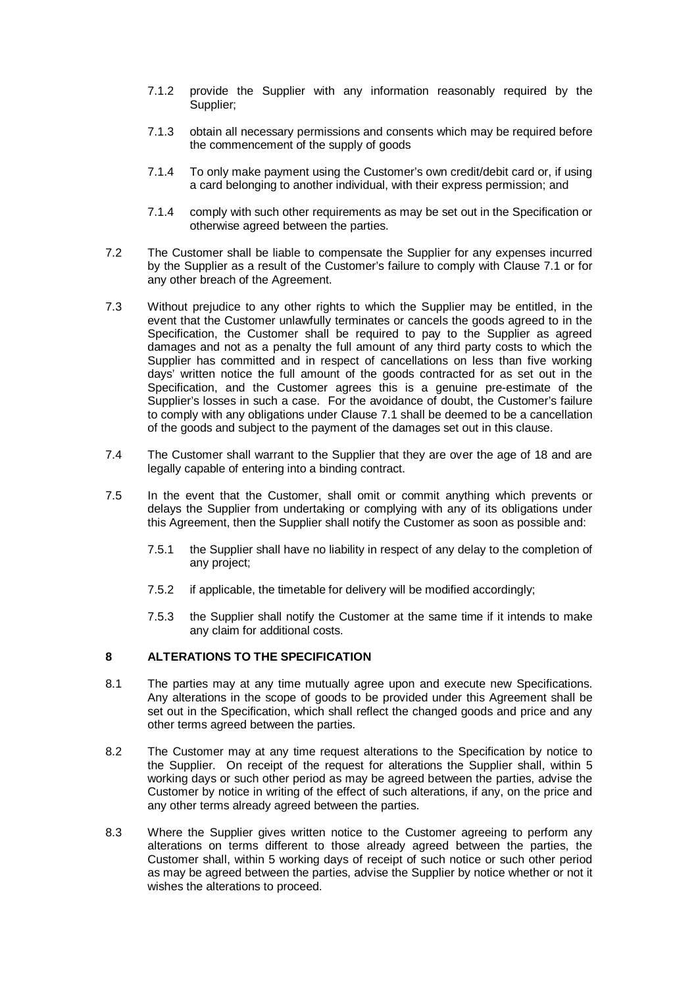- 7.1.2 provide the Supplier with any information reasonably required by the Supplier;
- 7.1.3 obtain all necessary permissions and consents which may be required before the commencement of the supply of goods
- 7.1.4 To only make payment using the Customer's own credit/debit card or, if using a card belonging to another individual, with their express permission; and
- 7.1.4 comply with such other requirements as may be set out in the Specification or otherwise agreed between the parties.
- 7.2 The Customer shall be liable to compensate the Supplier for any expenses incurred by the Supplier as a result of the Customer's failure to comply with Clause 7.1 or for any other breach of the Agreement.
- 7.3 Without prejudice to any other rights to which the Supplier may be entitled, in the event that the Customer unlawfully terminates or cancels the goods agreed to in the Specification, the Customer shall be required to pay to the Supplier as agreed damages and not as a penalty the full amount of any third party costs to which the Supplier has committed and in respect of cancellations on less than five working days' written notice the full amount of the goods contracted for as set out in the Specification, and the Customer agrees this is a genuine pre-estimate of the Supplier's losses in such a case. For the avoidance of doubt, the Customer's failure to comply with any obligations under Clause 7.1 shall be deemed to be a cancellation of the goods and subject to the payment of the damages set out in this clause.
- 7.4 The Customer shall warrant to the Supplier that they are over the age of 18 and are legally capable of entering into a binding contract.
- 7.5 In the event that the Customer, shall omit or commit anything which prevents or delays the Supplier from undertaking or complying with any of its obligations under this Agreement, then the Supplier shall notify the Customer as soon as possible and:
	- 7.5.1 the Supplier shall have no liability in respect of any delay to the completion of any project;
	- 7.5.2 if applicable, the timetable for delivery will be modified accordingly;
	- 7.5.3 the Supplier shall notify the Customer at the same time if it intends to make any claim for additional costs.

### **8 ALTERATIONS TO THE SPECIFICATION**

- 8.1 The parties may at any time mutually agree upon and execute new Specifications. Any alterations in the scope of goods to be provided under this Agreement shall be set out in the Specification, which shall reflect the changed goods and price and any other terms agreed between the parties.
- 8.2 The Customer may at any time request alterations to the Specification by notice to the Supplier. On receipt of the request for alterations the Supplier shall, within 5 working days or such other period as may be agreed between the parties, advise the Customer by notice in writing of the effect of such alterations, if any, on the price and any other terms already agreed between the parties.
- 8.3 Where the Supplier gives written notice to the Customer agreeing to perform any alterations on terms different to those already agreed between the parties, the Customer shall, within 5 working days of receipt of such notice or such other period as may be agreed between the parties, advise the Supplier by notice whether or not it wishes the alterations to proceed.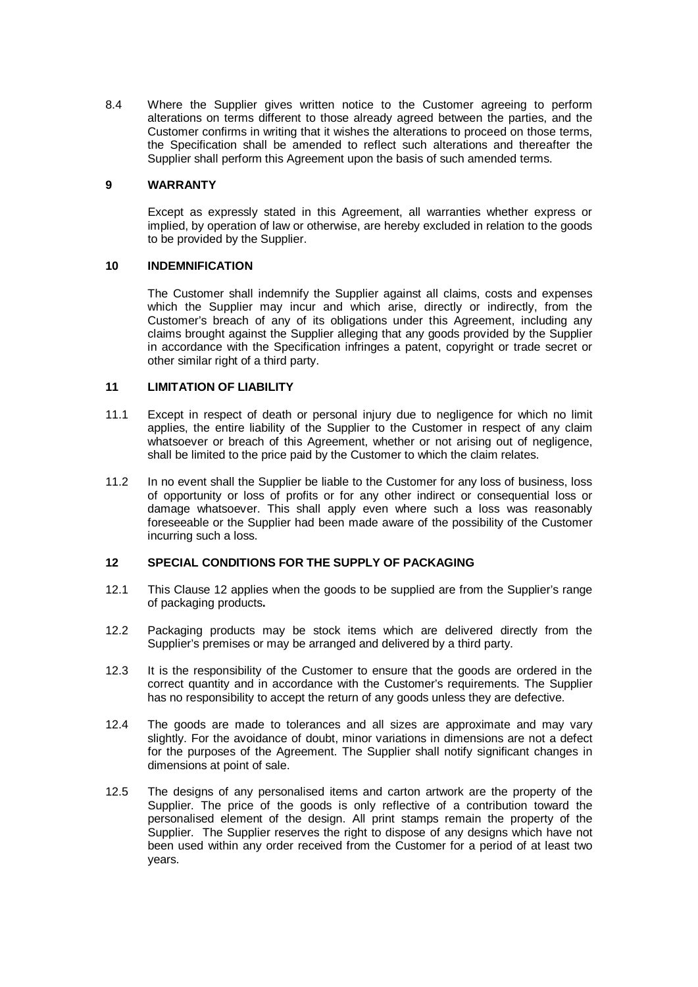8.4 Where the Supplier gives written notice to the Customer agreeing to perform alterations on terms different to those already agreed between the parties, and the Customer confirms in writing that it wishes the alterations to proceed on those terms, the Specification shall be amended to reflect such alterations and thereafter the Supplier shall perform this Agreement upon the basis of such amended terms.

### **9 WARRANTY**

Except as expressly stated in this Agreement, all warranties whether express or implied, by operation of law or otherwise, are hereby excluded in relation to the goods to be provided by the Supplier.

### **10 INDEMNIFICATION**

The Customer shall indemnify the Supplier against all claims, costs and expenses which the Supplier may incur and which arise, directly or indirectly, from the Customer's breach of any of its obligations under this Agreement, including any claims brought against the Supplier alleging that any goods provided by the Supplier in accordance with the Specification infringes a patent, copyright or trade secret or other similar right of a third party.

### **11 LIMITATION OF LIABILITY**

- 11.1 Except in respect of death or personal injury due to negligence for which no limit applies, the entire liability of the Supplier to the Customer in respect of any claim whatsoever or breach of this Agreement, whether or not arising out of negligence, shall be limited to the price paid by the Customer to which the claim relates.
- 11.2 In no event shall the Supplier be liable to the Customer for any loss of business, loss of opportunity or loss of profits or for any other indirect or consequential loss or damage whatsoever. This shall apply even where such a loss was reasonably foreseeable or the Supplier had been made aware of the possibility of the Customer incurring such a loss.

#### **12 SPECIAL CONDITIONS FOR THE SUPPLY OF PACKAGING**

- 12.1 This Clause 12 applies when the goods to be supplied are from the Supplier's range of packaging products**.**
- 12.2 Packaging products may be stock items which are delivered directly from the Supplier's premises or may be arranged and delivered by a third party.
- 12.3 It is the responsibility of the Customer to ensure that the goods are ordered in the correct quantity and in accordance with the Customer's requirements. The Supplier has no responsibility to accept the return of any goods unless they are defective.
- 12.4 The goods are made to tolerances and all sizes are approximate and may vary slightly. For the avoidance of doubt, minor variations in dimensions are not a defect for the purposes of the Agreement. The Supplier shall notify significant changes in dimensions at point of sale.
- 12.5 The designs of any personalised items and carton artwork are the property of the Supplier. The price of the goods is only reflective of a contribution toward the personalised element of the design. All print stamps remain the property of the Supplier. The Supplier reserves the right to dispose of any designs which have not been used within any order received from the Customer for a period of at least two years.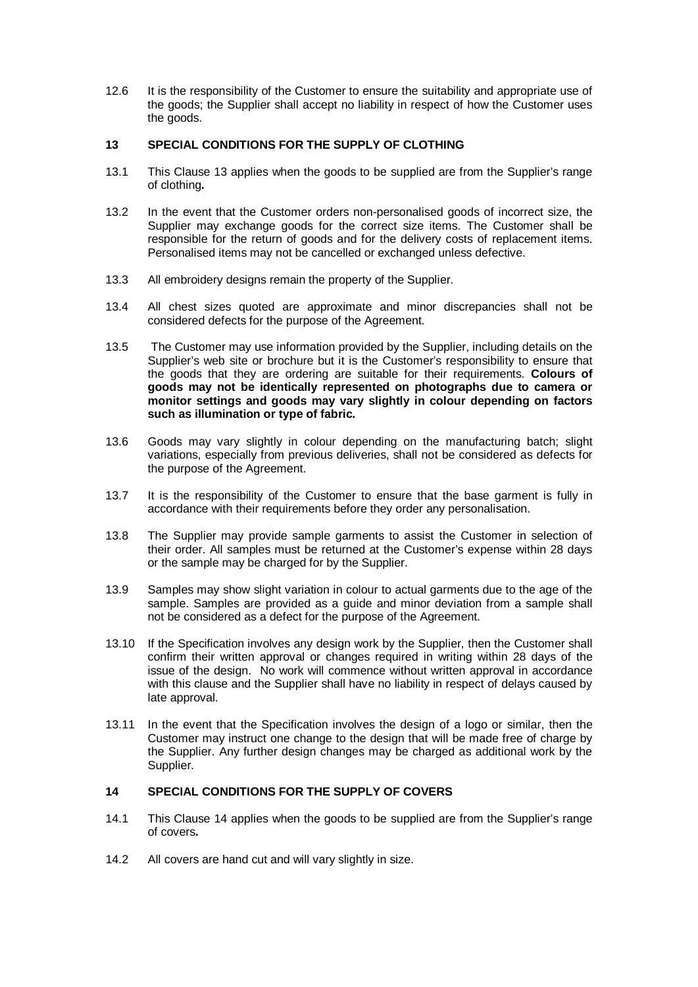12.6 It is the responsibility of the Customer to ensure the suitability and appropriate use of the goods; the Supplier shall accept no liability in respect of how the Customer uses the goods.

### **13 SPECIAL CONDITIONS FOR THE SUPPLY OF CLOTHING**

- 13.1 This Clause 13 applies when the goods to be supplied are from the Supplier's range of clothing**.**
- 13.2 In the event that the Customer orders non-personalised goods of incorrect size, the Supplier may exchange goods for the correct size items. The Customer shall be responsible for the return of goods and for the delivery costs of replacement items. Personalised items may not be cancelled or exchanged unless defective.
- 13.3 All embroidery designs remain the property of the Supplier.
- 13.4 All chest sizes quoted are approximate and minor discrepancies shall not be considered defects for the purpose of the Agreement.
- 13.5 The Customer may use information provided by the Supplier, including details on the Supplier's web site or brochure but it is the Customer's responsibility to ensure that the goods that they are ordering are suitable for their requirements. **Colours of goods may not be identically represented on photographs due to camera or monitor settings and goods may vary slightly in colour depending on factors such as illumination or type of fabric.**
- 13.6 Goods may vary slightly in colour depending on the manufacturing batch; slight variations, especially from previous deliveries, shall not be considered as defects for the purpose of the Agreement.
- 13.7 It is the responsibility of the Customer to ensure that the base garment is fully in accordance with their requirements before they order any personalisation.
- 13.8 The Supplier may provide sample garments to assist the Customer in selection of their order. All samples must be returned at the Customer's expense within 28 days or the sample may be charged for by the Supplier.
- 13.9 Samples may show slight variation in colour to actual garments due to the age of the sample. Samples are provided as a guide and minor deviation from a sample shall not be considered as a defect for the purpose of the Agreement.
- 13.10 If the Specification involves any design work by the Supplier, then the Customer shall confirm their written approval or changes required in writing within 28 days of the issue of the design. No work will commence without written approval in accordance with this clause and the Supplier shall have no liability in respect of delays caused by late approval.
- 13.11 In the event that the Specification involves the design of a logo or similar, then the Customer may instruct one change to the design that will be made free of charge by the Supplier. Any further design changes may be charged as additional work by the Supplier.

# **14 SPECIAL CONDITIONS FOR THE SUPPLY OF COVERS**

- 14.1 This Clause 14 applies when the goods to be supplied are from the Supplier's range of covers**.**
- 14.2 All covers are hand cut and will vary slightly in size.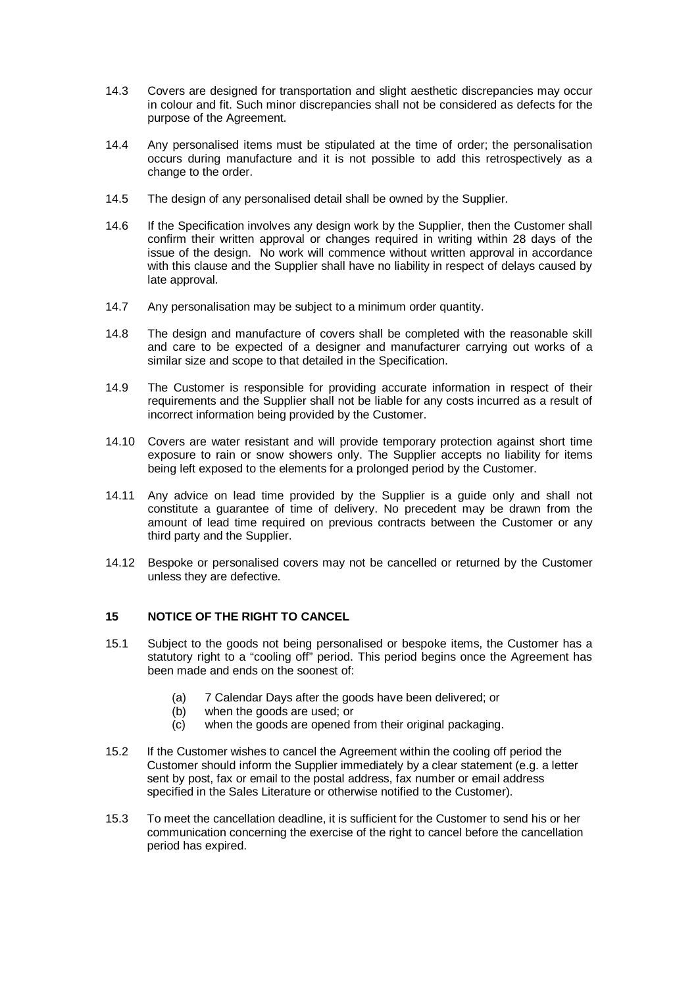- 14.3 Covers are designed for transportation and slight aesthetic discrepancies may occur in colour and fit. Such minor discrepancies shall not be considered as defects for the purpose of the Agreement.
- 14.4 Any personalised items must be stipulated at the time of order; the personalisation occurs during manufacture and it is not possible to add this retrospectively as a change to the order.
- 14.5 The design of any personalised detail shall be owned by the Supplier.
- 14.6 If the Specification involves any design work by the Supplier, then the Customer shall confirm their written approval or changes required in writing within 28 days of the issue of the design. No work will commence without written approval in accordance with this clause and the Supplier shall have no liability in respect of delays caused by late approval.
- 14.7 Any personalisation may be subject to a minimum order quantity.
- 14.8 The design and manufacture of covers shall be completed with the reasonable skill and care to be expected of a designer and manufacturer carrying out works of a similar size and scope to that detailed in the Specification.
- 14.9 The Customer is responsible for providing accurate information in respect of their requirements and the Supplier shall not be liable for any costs incurred as a result of incorrect information being provided by the Customer.
- 14.10 Covers are water resistant and will provide temporary protection against short time exposure to rain or snow showers only. The Supplier accepts no liability for items being left exposed to the elements for a prolonged period by the Customer.
- 14.11 Any advice on lead time provided by the Supplier is a guide only and shall not constitute a guarantee of time of delivery. No precedent may be drawn from the amount of lead time required on previous contracts between the Customer or any third party and the Supplier.
- 14.12 Bespoke or personalised covers may not be cancelled or returned by the Customer unless they are defective.

# **15 NOTICE OF THE RIGHT TO CANCEL**

- 15.1 Subject to the goods not being personalised or bespoke items, the Customer has a statutory right to a "cooling off" period. This period begins once the Agreement has been made and ends on the soonest of:
	- (a) 7 Calendar Days after the goods have been delivered; or
	- (b) when the goods are used; or<br>(c) when the goods are opened f
	- when the goods are opened from their original packaging.
- 15.2 If the Customer wishes to cancel the Agreement within the cooling off period the Customer should inform the Supplier immediately by a clear statement (e.g. a letter sent by post, fax or email to the postal address, fax number or email address specified in the Sales Literature or otherwise notified to the Customer).
- 15.3 To meet the cancellation deadline, it is sufficient for the Customer to send his or her communication concerning the exercise of the right to cancel before the cancellation period has expired.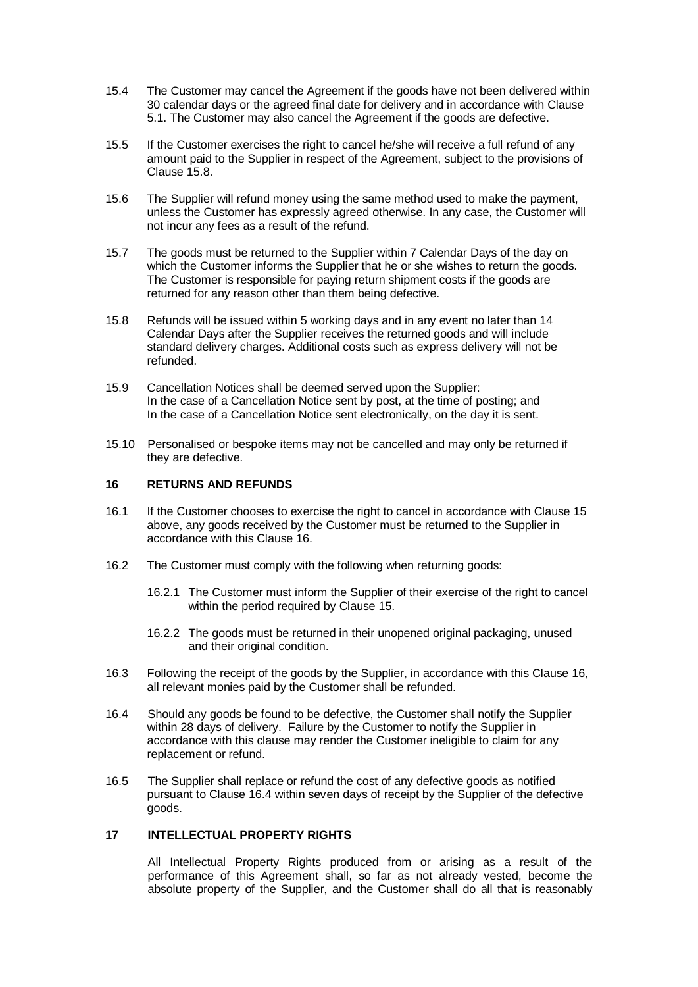- 15.4 The Customer may cancel the Agreement if the goods have not been delivered within 30 calendar days or the agreed final date for delivery and in accordance with Clause 5.1. The Customer may also cancel the Agreement if the goods are defective.
- 15.5 If the Customer exercises the right to cancel he/she will receive a full refund of any amount paid to the Supplier in respect of the Agreement, subject to the provisions of Clause 15.8.
- 15.6 The Supplier will refund money using the same method used to make the payment, unless the Customer has expressly agreed otherwise. In any case, the Customer will not incur any fees as a result of the refund.
- 15.7 The goods must be returned to the Supplier within 7 Calendar Days of the day on which the Customer informs the Supplier that he or she wishes to return the goods. The Customer is responsible for paying return shipment costs if the goods are returned for any reason other than them being defective.
- 15.8 Refunds will be issued within 5 working days and in any event no later than 14 Calendar Days after the Supplier receives the returned goods and will include standard delivery charges. Additional costs such as express delivery will not be refunded.
- 15.9 Cancellation Notices shall be deemed served upon the Supplier: In the case of a Cancellation Notice sent by post, at the time of posting; and In the case of a Cancellation Notice sent electronically, on the day it is sent.
- 15.10 Personalised or bespoke items may not be cancelled and may only be returned if they are defective.

### **16 RETURNS AND REFUNDS**

- 16.1 If the Customer chooses to exercise the right to cancel in accordance with Clause 15 above, any goods received by the Customer must be returned to the Supplier in accordance with this Clause 16.
- 16.2 The Customer must comply with the following when returning goods:
	- 16.2.1 The Customer must inform the Supplier of their exercise of the right to cancel within the period required by Clause 15.
	- 16.2.2 The goods must be returned in their unopened original packaging, unused and their original condition.
- 16.3 Following the receipt of the goods by the Supplier, in accordance with this Clause 16, all relevant monies paid by the Customer shall be refunded.
- 16.4 Should any goods be found to be defective, the Customer shall notify the Supplier within 28 days of delivery. Failure by the Customer to notify the Supplier in accordance with this clause may render the Customer ineligible to claim for any replacement or refund.
- 16.5 The Supplier shall replace or refund the cost of any defective goods as notified pursuant to Clause 16.4 within seven days of receipt by the Supplier of the defective goods.

### **17 INTELLECTUAL PROPERTY RIGHTS**

All Intellectual Property Rights produced from or arising as a result of the performance of this Agreement shall, so far as not already vested, become the absolute property of the Supplier, and the Customer shall do all that is reasonably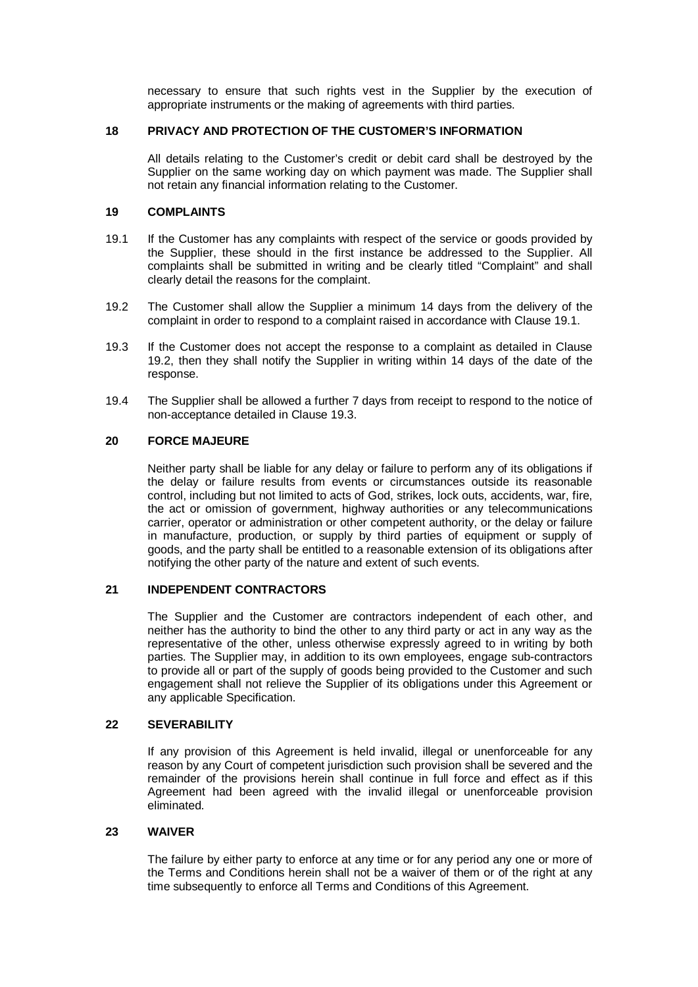necessary to ensure that such rights vest in the Supplier by the execution of appropriate instruments or the making of agreements with third parties.

### **18 PRIVACY AND PROTECTION OF THE CUSTOMER'S INFORMATION**

All details relating to the Customer's credit or debit card shall be destroyed by the Supplier on the same working day on which payment was made. The Supplier shall not retain any financial information relating to the Customer.

### **19 COMPLAINTS**

- 19.1 If the Customer has any complaints with respect of the service or goods provided by the Supplier, these should in the first instance be addressed to the Supplier. All complaints shall be submitted in writing and be clearly titled "Complaint" and shall clearly detail the reasons for the complaint.
- 19.2 The Customer shall allow the Supplier a minimum 14 days from the delivery of the complaint in order to respond to a complaint raised in accordance with Clause 19.1.
- 19.3 If the Customer does not accept the response to a complaint as detailed in Clause 19.2, then they shall notify the Supplier in writing within 14 days of the date of the response.
- 19.4 The Supplier shall be allowed a further 7 days from receipt to respond to the notice of non-acceptance detailed in Clause 19.3.

### **20 FORCE MAJEURE**

Neither party shall be liable for any delay or failure to perform any of its obligations if the delay or failure results from events or circumstances outside its reasonable control, including but not limited to acts of God, strikes, lock outs, accidents, war, fire, the act or omission of government, highway authorities or any telecommunications carrier, operator or administration or other competent authority, or the delay or failure in manufacture, production, or supply by third parties of equipment or supply of goods, and the party shall be entitled to a reasonable extension of its obligations after notifying the other party of the nature and extent of such events.

### **21 INDEPENDENT CONTRACTORS**

The Supplier and the Customer are contractors independent of each other, and neither has the authority to bind the other to any third party or act in any way as the representative of the other, unless otherwise expressly agreed to in writing by both parties. The Supplier may, in addition to its own employees, engage sub-contractors to provide all or part of the supply of goods being provided to the Customer and such engagement shall not relieve the Supplier of its obligations under this Agreement or any applicable Specification.

## **22 SEVERABILITY**

If any provision of this Agreement is held invalid, illegal or unenforceable for any reason by any Court of competent jurisdiction such provision shall be severed and the remainder of the provisions herein shall continue in full force and effect as if this Agreement had been agreed with the invalid illegal or unenforceable provision eliminated.

#### **23 WAIVER**

The failure by either party to enforce at any time or for any period any one or more of the Terms and Conditions herein shall not be a waiver of them or of the right at any time subsequently to enforce all Terms and Conditions of this Agreement.